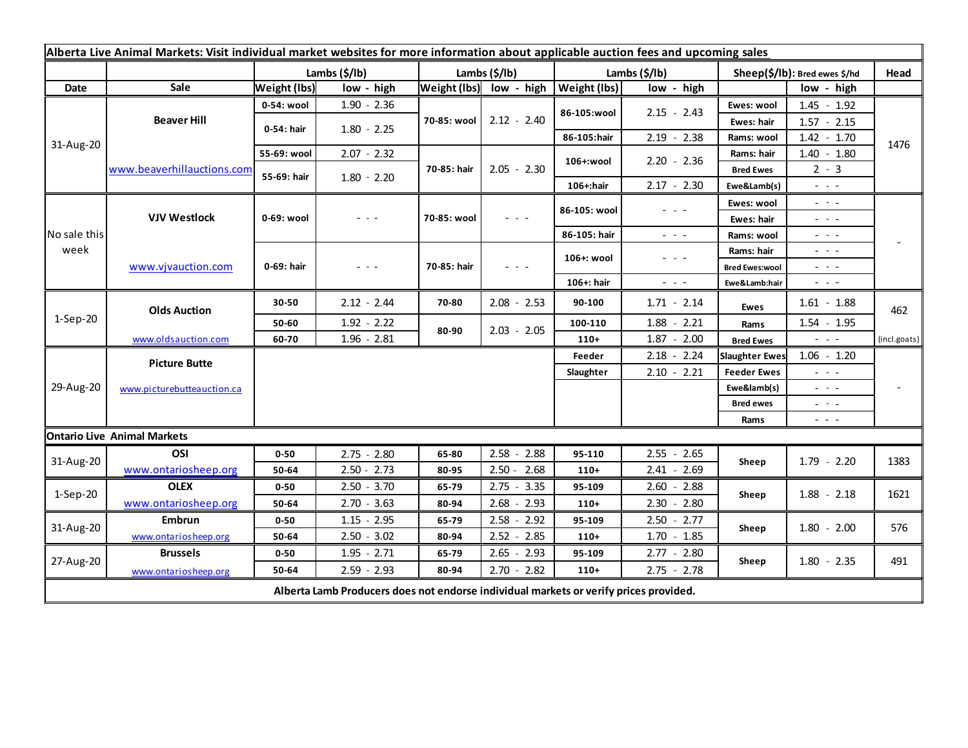| Alberta Live Animal Markets: Visit individual market websites for more information about applicable auction fees and upcoming sales |                                    |                     |               |                       |                         |               |                                                                                                                                                                                                              |                               |                                                                                                                        |              |
|-------------------------------------------------------------------------------------------------------------------------------------|------------------------------------|---------------------|---------------|-----------------------|-------------------------|---------------|--------------------------------------------------------------------------------------------------------------------------------------------------------------------------------------------------------------|-------------------------------|------------------------------------------------------------------------------------------------------------------------|--------------|
|                                                                                                                                     |                                    | Lambs (\$/lb)       |               | Lambs $(\frac{2}{3})$ |                         | Lambs (\$/lb) |                                                                                                                                                                                                              | Sheep(\$/lb): Bred ewes \$/hd |                                                                                                                        | Head         |
| Date                                                                                                                                | Sale                               | <b>Weight (lbs)</b> | low - high    |                       | Weight (lbs) low - high | Weight (lbs)  | low - high                                                                                                                                                                                                   |                               | low - high                                                                                                             |              |
| 31-Aug-20                                                                                                                           | <b>Beaver Hill</b>                 | 0-54: wool          | $1.90 - 2.36$ | 70-85: wool           | $2.12 - 2.40$           | 86-105:wool   | $2.15 - 2.43$                                                                                                                                                                                                | Ewes: wool                    | $1.45 - 1.92$                                                                                                          |              |
|                                                                                                                                     |                                    | 0-54: hair          | $1.80 - 2.25$ |                       |                         |               |                                                                                                                                                                                                              | Ewes: hair                    | $1.57 - 2.15$                                                                                                          |              |
|                                                                                                                                     |                                    |                     |               |                       |                         | 86-105:hair   | $2.19 - 2.38$                                                                                                                                                                                                | Rams: wool                    | $1.42 - 1.70$                                                                                                          | 1476         |
|                                                                                                                                     | www.beaverhillauctions.com         | 55-69: wool         | $2.07 - 2.32$ | 70-85: hair           | $2.05 - 2.30$           | 106+:wool     | $2.20 - 2.36$                                                                                                                                                                                                | Rams: hair                    | $1.40 - 1.80$                                                                                                          |              |
|                                                                                                                                     |                                    | 55-69: hair         | $1.80 - 2.20$ |                       |                         |               |                                                                                                                                                                                                              | <b>Bred Ewes</b>              | $2 - 3$                                                                                                                |              |
|                                                                                                                                     |                                    |                     |               |                       |                         | 106+:hair     | $2.17 - 2.30$                                                                                                                                                                                                | Ewe&Lamb(s)                   | - - -                                                                                                                  |              |
| No sale this<br>week                                                                                                                | <b>VJV Westlock</b>                | 0-69: wool          | - - -         | 70-85: wool           | $  -$                   | 86-105: wool  | $  -$                                                                                                                                                                                                        | Ewes: wool                    | $\omega_{\rm{c}}$ , $\omega_{\rm{c}}$                                                                                  |              |
|                                                                                                                                     |                                    |                     |               |                       |                         |               |                                                                                                                                                                                                              | Ewes: hair                    | - - -                                                                                                                  |              |
|                                                                                                                                     |                                    |                     |               |                       |                         | 86-105: hair  | $\frac{1}{2} \left( \begin{array}{ccc} 1 & 0 & 0 \\ 0 & 0 & 0 \\ 0 & 0 & 0 \end{array} \right) = \frac{1}{2} \left( \begin{array}{ccc} 1 & 0 & 0 \\ 0 & 0 & 0 \\ 0 & 0 & 0 \\ 0 & 0 & 0 \end{array} \right)$ | Rams: wool                    | - - -                                                                                                                  |              |
|                                                                                                                                     | www.vjvauction.com                 | 0-69: hair          | - - -         | 70-85: hair           | - - -                   | 106+: wool    | $\frac{1}{2} \left( \frac{1}{2} \right) \left( \frac{1}{2} \right) \left( \frac{1}{2} \right) \left( \frac{1}{2} \right)$                                                                                    | Rams: hair                    | $\frac{1}{2} \left( \frac{1}{2} \right) = \frac{1}{2} \left( \frac{1}{2} \right)$                                      |              |
|                                                                                                                                     |                                    |                     |               |                       |                         |               |                                                                                                                                                                                                              | <b>Bred Ewes:wool</b>         | $  -$                                                                                                                  |              |
|                                                                                                                                     |                                    |                     |               |                       |                         | 106+: hair    | $ -$                                                                                                                                                                                                         | Ewe&Lamb:hair                 | $\frac{1}{2} \left( \frac{1}{2} \right) \frac{1}{2} \left( \frac{1}{2} \right) \frac{1}{2} \left( \frac{1}{2} \right)$ |              |
| $1-Sep-20$                                                                                                                          | <b>Olds Auction</b>                | 30-50               | $2.12 - 2.44$ | 70-80                 | $2.08 - 2.53$           | 90-100        | $1.71 - 2.14$                                                                                                                                                                                                | <b>Ewes</b>                   | $1.61 - 1.88$                                                                                                          | 462          |
|                                                                                                                                     |                                    | 50-60               | $1.92 - 2.22$ | 80-90                 | $2.03 - 2.05$           | 100-110       | $1.88 - 2.21$                                                                                                                                                                                                | Rams                          | $1.54 - 1.95$                                                                                                          |              |
|                                                                                                                                     | www.oldsauction.com                | 60-70               | $1.96 - 2.81$ |                       |                         | $110+$        | $1.87 - 2.00$                                                                                                                                                                                                | <b>Bred Ewes</b>              | $\frac{1}{2} \left( \frac{1}{2} \right) \left( \frac{1}{2} \right) \left( \frac{1}{2} \right)$                         | (incl.goats) |
| 29-Aug-20                                                                                                                           | <b>Picture Butte</b>               |                     |               |                       |                         | Feeder        | $2.18 - 2.24$                                                                                                                                                                                                | <b>Slaughter Ewes</b>         | $1.06 - 1.20$                                                                                                          |              |
|                                                                                                                                     | www.picturebutteauction.ca         |                     |               |                       |                         | Slaughter     | $2.10 - 2.21$                                                                                                                                                                                                | <b>Feeder Ewes</b>            | $  -$                                                                                                                  |              |
|                                                                                                                                     |                                    |                     |               |                       |                         |               |                                                                                                                                                                                                              | Ewe&lamb(s)                   | $  -$                                                                                                                  |              |
|                                                                                                                                     |                                    |                     |               |                       |                         |               |                                                                                                                                                                                                              | <b>Bred ewes</b>              | $\frac{1}{2} \left( \frac{1}{2} \right) \frac{1}{2} \left( \frac{1}{2} \right) \frac{1}{2} \left( \frac{1}{2} \right)$ |              |
|                                                                                                                                     |                                    |                     |               |                       |                         |               |                                                                                                                                                                                                              | Rams                          | $\frac{1}{2} \left( \frac{1}{2} \right) \frac{1}{2} \left( \frac{1}{2} \right) \frac{1}{2} \left( \frac{1}{2} \right)$ |              |
|                                                                                                                                     | <b>Ontario Live Animal Markets</b> |                     |               |                       |                         |               |                                                                                                                                                                                                              |                               |                                                                                                                        |              |
| 31-Aug-20                                                                                                                           | OSI                                | $0 - 50$            | $2.75 - 2.80$ | 65-80                 | $2.58 - 2.88$           | 95-110        | $2.55 - 2.65$                                                                                                                                                                                                | Sheep                         | $1.79 - 2.20$                                                                                                          | 1383         |
|                                                                                                                                     | www.ontariosheep.org               | 50-64               | $2.50 - 2.73$ | 80-95                 | $2.50 - 2.68$           | $110+$        | $2.41 - 2.69$                                                                                                                                                                                                |                               |                                                                                                                        |              |
| $1-Sep-20$                                                                                                                          | <b>OLEX</b>                        | $0 - 50$            | $2.50 - 3.70$ | 65-79                 | $2.75 - 3.35$           | 95-109        | $2.60 - 2.88$                                                                                                                                                                                                | Sheep                         | $1.88 - 2.18$                                                                                                          | 1621         |
|                                                                                                                                     | www.ontariosheep.org               | 50-64               | $2.70 - 3.63$ | 80-94                 | $2.68 - 2.93$           | $110+$        | $2.30 - 2.80$                                                                                                                                                                                                |                               |                                                                                                                        |              |
| 31-Aug-20                                                                                                                           | Embrun                             | $0 - 50$            | $1.15 - 2.95$ | 65-79                 | $2.58 - 2.92$           | 95-109        | $2.50 - 2.77$                                                                                                                                                                                                | Sheep                         | $1.80 - 2.00$                                                                                                          | 576          |
|                                                                                                                                     | www.ontariosheep.org               | 50-64               | $2.50 - 3.02$ | 80-94                 | $2.52 - 2.85$           | $110+$        | $1.70 - 1.85$                                                                                                                                                                                                |                               |                                                                                                                        |              |
| 27-Aug-20                                                                                                                           | <b>Brussels</b>                    | $0 - 50$            | $1.95 - 2.71$ | 65-79                 | $2.65 - 2.93$           | 95-109        | $2.77 - 2.80$                                                                                                                                                                                                | Sheep                         | $1.80 - 2.35$                                                                                                          | 491          |
|                                                                                                                                     | www.ontariosheep.org               | 50-64               | $2.59 - 2.93$ | 80-94                 | $2.70 - 2.82$           | $110+$        | $2.75 - 2.78$                                                                                                                                                                                                |                               |                                                                                                                        |              |
| Alberta Lamb Producers does not endorse individual markets or verify prices provided.                                               |                                    |                     |               |                       |                         |               |                                                                                                                                                                                                              |                               |                                                                                                                        |              |